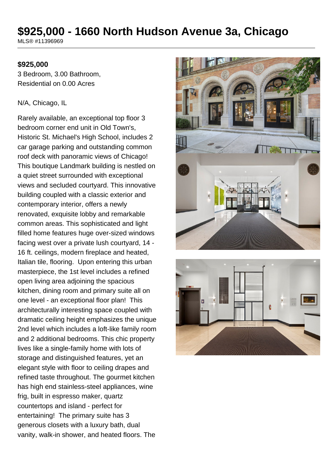# **\$925,000 - 1660 North Hudson Avenue 3a, Chicago**

MLS® #11396969

#### **\$925,000**

3 Bedroom, 3.00 Bathroom, Residential on 0.00 Acres

#### N/A, Chicago, IL

Rarely available, an exceptional top floor 3 bedroom corner end unit in Old Town's, Historic St. Michael's High School, includes 2 car garage parking and outstanding common roof deck with panoramic views of Chicago! This boutique Landmark building is nestled on a quiet street surrounded with exceptional views and secluded courtyard. This innovative building coupled with a classic exterior and contemporary interior, offers a newly renovated, exquisite lobby and remarkable common areas. This sophisticated and light filled home features huge over-sized windows facing west over a private lush courtyard, 14 - 16 ft. ceilings, modern fireplace and heated, Italian tile, flooring. Upon entering this urban masterpiece, the 1st level includes a refined open living area adjoining the spacious kitchen, dining room and primary suite all on one level - an exceptional floor plan! This architecturally interesting space coupled with dramatic ceiling height emphasizes the unique 2nd level which includes a loft-like family room and 2 additional bedrooms. This chic property lives like a single-family home with lots of storage and distinguished features, yet an elegant style with floor to ceiling drapes and refined taste throughout. The gourmet kitchen has high end stainless-steel appliances, wine frig, built in espresso maker, quartz countertops and island - perfect for entertaining! The primary suite has 3 generous closets with a luxury bath, dual vanity, walk-in shower, and heated floors. The



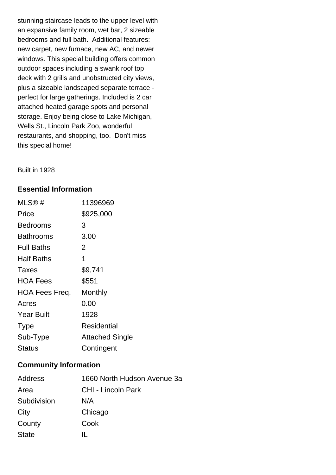stunning staircase leads to the upper level with an expansive family room, wet bar, 2 sizeable bedrooms and full bath. Additional features: new carpet, new furnace, new AC, and newer windows. This special building offers common outdoor spaces including a swank roof top deck with 2 grills and unobstructed city views, plus a sizeable landscaped separate terrace perfect for large gatherings. Included is 2 car attached heated garage spots and personal storage. Enjoy being close to Lake Michigan, Wells St., Lincoln Park Zoo, wonderful restaurants, and shopping, too. Don't miss this special home!

Built in 1928

#### **Essential Information**

| $MLS@$ #              | 11396969               |
|-----------------------|------------------------|
| Price                 | \$925,000              |
| <b>Bedrooms</b>       | 3                      |
| Bathrooms             | 3.00                   |
| <b>Full Baths</b>     | 2                      |
| Half Baths            | 1                      |
| <b>Taxes</b>          | \$9,741                |
| <b>HOA Fees</b>       | \$551                  |
| <b>HOA Fees Freq.</b> | Monthly                |
| Acres                 | 0.00                   |
| <b>Year Built</b>     | 1928                   |
| <b>Type</b>           | Residential            |
| Sub-Type              | <b>Attached Single</b> |
| Status                | Contingent             |

#### **Community Information**

| Address      | 1660 North Hudson Avenue 3a |
|--------------|-----------------------------|
| Area         | CHI - Lincoln Park          |
| Subdivision  | N/A                         |
| City         | Chicago                     |
| County       | Cook                        |
| <b>State</b> | <b>TE</b>                   |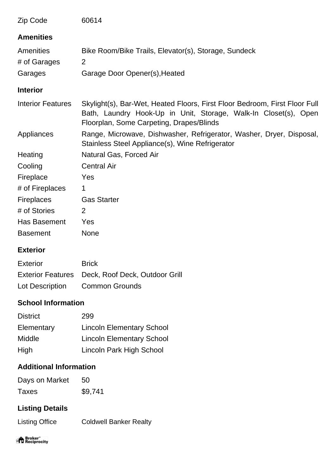| Zip Code                 | 60614                                                                                                                                                                                     |
|--------------------------|-------------------------------------------------------------------------------------------------------------------------------------------------------------------------------------------|
| <b>Amenities</b>         |                                                                                                                                                                                           |
| Amenities                | Bike Room/Bike Trails, Elevator(s), Storage, Sundeck                                                                                                                                      |
| # of Garages             | 2                                                                                                                                                                                         |
| Garages                  | Garage Door Opener(s), Heated                                                                                                                                                             |
| <b>Interior</b>          |                                                                                                                                                                                           |
| <b>Interior Features</b> | Skylight(s), Bar-Wet, Heated Floors, First Floor Bedroom, First Floor Full<br>Bath, Laundry Hook-Up in Unit, Storage, Walk-In Closet(s), Open<br>Floorplan, Some Carpeting, Drapes/Blinds |
| Appliances               | Range, Microwave, Dishwasher, Refrigerator, Washer, Dryer, Disposal,<br>Stainless Steel Appliance(s), Wine Refrigerator                                                                   |
| Heating                  | Natural Gas, Forced Air                                                                                                                                                                   |
| Cooling                  | <b>Central Air</b>                                                                                                                                                                        |
| Fireplace                | Yes                                                                                                                                                                                       |
| # of Fireplaces          | 1                                                                                                                                                                                         |
| <b>Fireplaces</b>        | <b>Gas Starter</b>                                                                                                                                                                        |
| # of Stories             | 2                                                                                                                                                                                         |
| Has Basement             | Yes                                                                                                                                                                                       |
| <b>Basement</b>          | <b>None</b>                                                                                                                                                                               |

### **Exterior**

| Exterior        | <b>Brick</b>                                     |
|-----------------|--------------------------------------------------|
|                 | Exterior Features Deck, Roof Deck, Outdoor Grill |
| Lot Description | <b>Common Grounds</b>                            |

## **School Information**

| <b>District</b> | 299                              |
|-----------------|----------------------------------|
| Elementary      | <b>Lincoln Elementary School</b> |
| Middle          | <b>Lincoln Elementary School</b> |
| High            | Lincoln Park High School         |

## **Additional Information**

| Days on Market | 50      |
|----------------|---------|
| Taxes          | \$9,741 |

# **Listing Details**

Listing Office Coldwell Banker Realty

# "<sup>A</sup> Broker"<br>"If Reciprocity